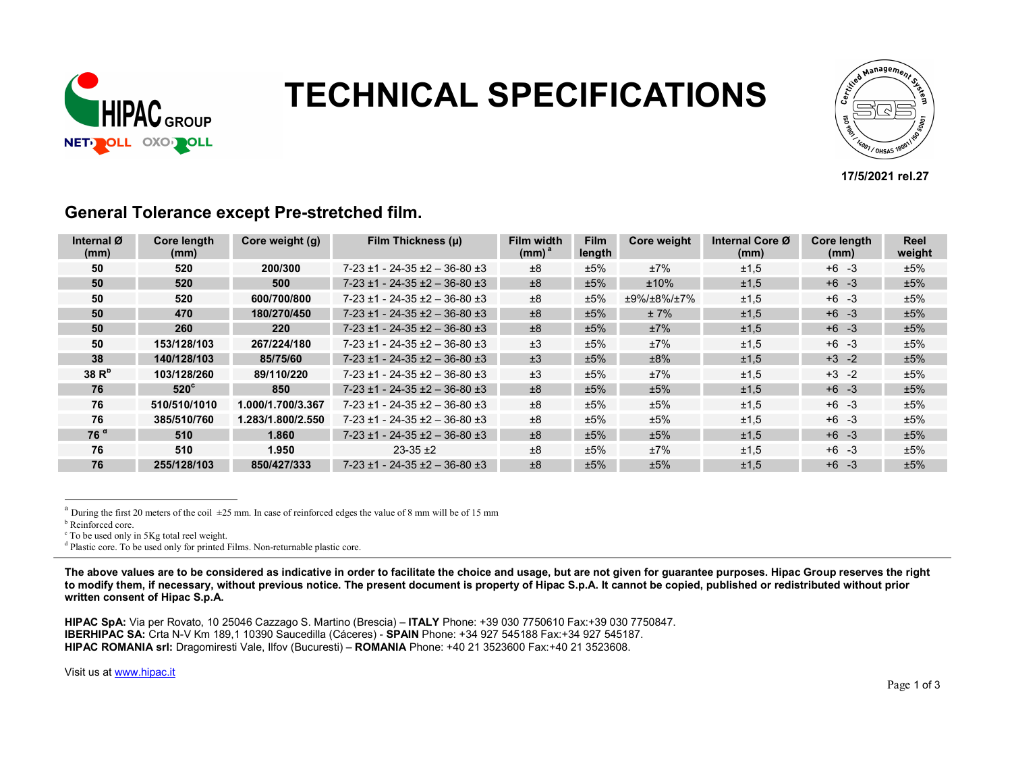

# **NUIDAC CONTRECHNICAL SPECIFICATIONS**



#### 17/5/2021 rel.27

| Internal Ø<br>(mm) | <b>Core length</b><br>(mm) | Core weight (g)   | Film Thickness (µ)                       | Film width<br>(mm) <sup>a</sup> | <b>Film</b><br>length | Core weight | Internal Core Ø<br>(mm) | Core length<br>(mm) | <b>Reel</b><br>weight |
|--------------------|----------------------------|-------------------|------------------------------------------|---------------------------------|-----------------------|-------------|-------------------------|---------------------|-----------------------|
| 50                 | 520                        | 200/300           | $7-23 \pm 1 - 24-35 \pm 2 - 36-80 \pm 3$ | ±8                              | ±5%                   | ±7%         | ±1,5                    | $+6 -3$             | ±5%                   |
| 50                 | 520                        | 500               | $7-23 \pm 1 - 24-35 \pm 2 - 36-80 \pm 3$ | ±8                              | ±5%                   | ±10%        | ±1,5                    | $+6 - 3$            | ±5%                   |
| 50                 | 520                        | 600/700/800       | $7-23 \pm 1 - 24-35 \pm 2 - 36-80 \pm 3$ | ±8                              | ±5%                   | ±9%/±8%/±7% | ±1,5                    | $+6 -3$             | ±5%                   |
| 50                 | 470                        | 180/270/450       | $7-23 \pm 1 - 24-35 \pm 2 - 36-80 \pm 3$ | ±8                              | ±5%                   | ±7%         | ±1,5                    | $+6 - 3$            | ±5%                   |
| 50                 | 260                        | 220               | $7-23 \pm 1 - 24-35 \pm 2 - 36-80 \pm 3$ | ±8                              | ±5%                   | ±7%         | ±1,5                    | $+6 - 3$            | ±5%                   |
| 50                 | 153/128/103                | 267/224/180       | $7-23 \pm 1 - 24-35 \pm 2 - 36-80 \pm 3$ | ±3                              | ±5%                   | ±7%         | ±1,5                    | $+6 - 3$            | ±5%                   |
| 38                 | 140/128/103                | 85/75/60          | $7-23 \pm 1 - 24-35 \pm 2 - 36-80 \pm 3$ | ±3                              | ±5%                   | ±8%         | ±1,5                    | $+3 -2$             | ±5%                   |
| 38R <sup>b</sup>   | 103/128/260                | 89/110/220        | $7-23 \pm 1 - 24-35 \pm 2 - 36-80 \pm 3$ | ±3                              | ±5%                   | ±7%         | ±1,5                    | $+3 -2$             | ±5%                   |
| 76                 | $520^{\circ}$              | 850               | $7-23 \pm 1 - 24-35 \pm 2 - 36-80 \pm 3$ | ±8                              | ±5%                   | ±5%         | ±1,5                    | $+6 -3$             | ±5%                   |
| 76                 | 510/510/1010               | 1.000/1.700/3.367 | $7-23 \pm 1 - 24-35 \pm 2 - 36-80 \pm 3$ | ±8                              | ±5%                   | ±5%         | ±1,5                    | $+6 -3$             | ±5%                   |
| 76                 | 385/510/760                | 1.283/1.800/2.550 | $7-23 \pm 1 - 24-35 \pm 2 - 36-80 \pm 3$ | ±8                              | ±5%                   | ±5%         | ±1.5                    | $+6 -3$             | ±5%                   |
| 76 <sup>d</sup>    | 510                        | 1.860             | $7-23 \pm 1 - 24-35 \pm 2 - 36-80 \pm 3$ | ±8                              | ±5%                   | ±5%         | ±1,5                    | $+6 -3$             | ±5%                   |
| 76                 | 510                        | 1.950             | $23-35+2$                                | ±8                              | ±5%                   | ±7%         | ±1,5                    | $+6 -3$             | ±5%                   |
| 76                 | 255/128/103                | 850/427/333       | $7-23 \pm 1 - 24-35 \pm 2 - 36-80 \pm 3$ | ±8                              | ±5%                   | ±5%         | ±1,5                    | $+6 -3$             | ±5%                   |

#### General Tolerance except Pre-stretched film.

<sup>a</sup> During the first 20 meters of the coil  $\pm 25$  mm. In case of reinforced edges the value of 8 mm will be of 15 mm

i,

<sup>d</sup> Plastic core. To be used only for printed Films. Non-returnable plastic core.

The above values are to be considered as indicative in order to facilitate the choice and usage, but are not given for guarantee purposes. Hipac Group reserves the right to modify them, if necessary, without previous notice. The present document is property of Hipac S.p.A. It cannot be copied, published or redistributed without prior written consent of Hipac S.p.A.

HIPAC SpA: Via per Rovato, 10 25046 Cazzago S. Martino (Brescia) – ITALY Phone: +39 030 7750610 Fax:+39 030 7750847. IBERHIPAC SA: Crta N-V Km 189,1 10390 Saucedilla (Cáceres) - SPAIN Phone: +34 927 545188 Fax:+34 927 545187. HIPAC ROMANIA srl: Dragomiresti Vale, Ilfov (Bucuresti) – ROMANIA Phone: +40 21 3523600 Fax:+40 21 3523608.

Visit us at www.hipac.it

**b** Reinforced core.

c To be used only in 5Kg total reel weight.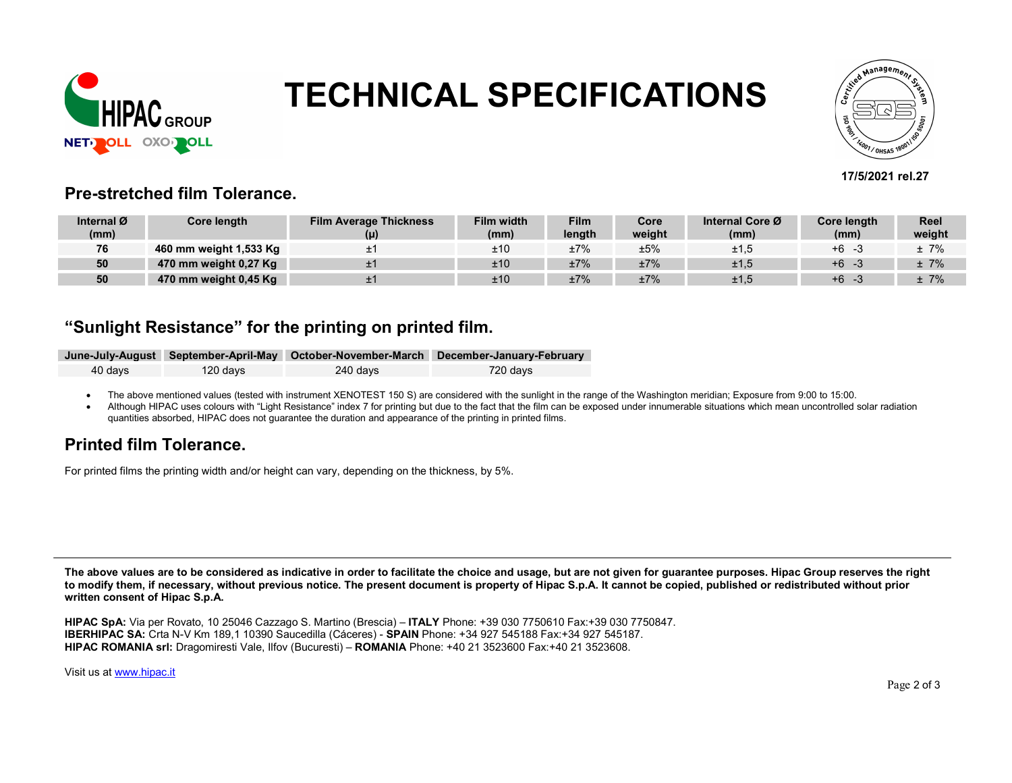

# TECHNICAL SPECIFICATIONS



#### 17/5/2021 rel.27

#### Pre-stretched film Tolerance.

| Internal Ø | Core length            | <b>Film Average Thickness</b> | <b>Film width</b> | <b>Film</b> | Core   | Internal Core Ø | Core length | <b>Reel</b> |
|------------|------------------------|-------------------------------|-------------------|-------------|--------|-----------------|-------------|-------------|
| (mm)       |                        |                               | (mm)              | length      | weight | (mm)            | (mm)        | weight      |
| 76         | 460 mm weight 1,533 Kg |                               | ±10               | ±7%         | ±5%    | ±1,5            | $+6$        | $±7\%$      |
| 50         | 470 mm weight 0,27 Kg  |                               | ±10               | ±7%         | ±7%    | ±1,5            | $+6$        | $±7\%$      |
| 50         | 470 mm weight 0,45 Kg  |                               | ±10               | ±7%         | ±7%    | ±1,5            | $+6$        | ± 7%        |

### "Sunlight Resistance" for the printing on printed film.

|         |          |          | June-July-August September-April-May October-November-March December-January-February |
|---------|----------|----------|---------------------------------------------------------------------------------------|
| 40 davs | 120 days | 240 davs | 720 davs                                                                              |

• The above mentioned values (tested with instrument XENOTEST 150 S) are considered with the sunlight in the range of the Washington meridian; Exposure from 9:00 to 15:00.

Although HIPAC uses colours with "Light Resistance" index 7 for printing but due to the fact that the film can be exposed under innumerable situations which mean uncontrolled solar radiation quantities absorbed, HIPAC does not guarantee the duration and appearance of the printing in printed films.

### Printed film Tolerance.

For printed films the printing width and/or height can vary, depending on the thickness, by 5%.

The above values are to be considered as indicative in order to facilitate the choice and usage, but are not given for guarantee purposes. Hipac Group reserves the right to modify them, if necessary, without previous notice. The present document is property of Hipac S.p.A. It cannot be copied, published or redistributed without prior written consent of Hipac S.p.A.

HIPAC SpA: Via per Rovato, 10 25046 Cazzago S. Martino (Brescia) – ITALY Phone: +39 030 7750610 Fax:+39 030 7750847. IBERHIPAC SA: Crta N-V Km 189,1 10390 Saucedilla (Cáceres) - SPAIN Phone: +34 927 545188 Fax:+34 927 545187. HIPAC ROMANIA srl: Dragomiresti Vale, Ilfov (Bucuresti) – ROMANIA Phone: +40 21 3523600 Fax:+40 21 3523608.

Visit us at www.hipac.it